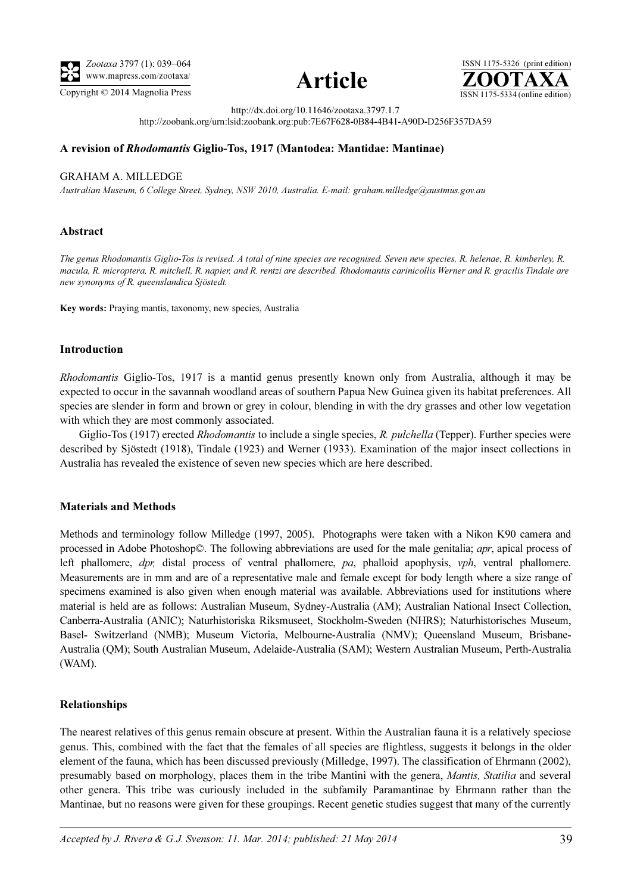





http://dx.doi.org/10.11646/zootaxa.3797.1.7

http://zoobank.org/urn:lsid:zoobank.org:pub:7E67F628-0B84-4B41-A90D-D256F357DA59

## A revision of Rhodomantis Giglio-Tos, 1917 (Mantodea: Mantidae: Mantinae)

### GRAHAM A. MILLEDGE

Australian Museum, 6 College Street, Sydney, NSW 2010, Australia. E-mail: graham.milledge@austmus.gov.au

## Abstract

The genus Rhodomantis Giglio-Tos is revised. A total of nine species are recognised. Seven new species, R. helenae, R. kimberley, R. macula, R. microptera, R. mitchell, R. napier, and R. rentzi are described. Rhodomantis carinicollis Werner and R. gracilis Tindale are new synonyms of R. queenslandica Sjöstedt.

Key words: Praying mantis, taxonomy, new species, Australia

### Introduction

Rhodomantis Giglio-Tos, 1917 is a mantid genus presently known only from Australia, although it may be expected to occur in the savannah woodland areas of southern Papua New Guinea given its habitat preferences. All species are slender in form and brown or grey in colour, blending in with the dry grasses and other low vegetation with which they are most commonly associated.

Giglio-Tos (1917) erected Rhodomantis to include a single species, R. pulchella (Tepper). Further species were described by Sjöstedt (1918), Tindale (1923) and Werner (1933). Examination of the major insect collections in Australia has revealed the existence of seven new species which are here described.

### Materials and Methods

Methods and terminology follow Milledge (1997, 2005). Photographs were taken with a Nikon K90 camera and processed in Adobe Photoshop©. The following abbreviations are used for the male genitalia; apr, apical process of left phallomere, dpr, distal process of ventral phallomere, pa, phalloid apophysis, vph, ventral phallomere. Measurements are in mm and are of a representative male and female except for body length where a size range of specimens examined is also given when enough material was available. Abbreviations used for institutions where material is held are as follows: Australian Museum, Sydney-Australia (AM); Australian National Insect Collection, Canberra-Australia (ANIC); Naturhistoriska Riksmuseet, Stockholm-Sweden (NHRS); Naturhistorisches Museum, Basel- Switzerland (NMB); Museum Victoria, Melbourne-Australia (NMV); Queensland Museum, Brisbane-Australia (QM); South Australian Museum, Adelaide-Australia (SAM); Western Australian Museum, Perth-Australia (WAM).

# Relationships

The nearest relatives of this genus remain obscure at present. Within the Australian fauna it is a relatively speciose genus. This, combined with the fact that the females of all species are flightless, suggests it belongs in the older element of the fauna, which has been discussed previously (Milledge, 1997). The classification of Ehrmann (2002), presumably based on morphology, places them in the tribe Mantini with the genera, Mantis, Statilia and several other genera. This tribe was curiously included in the subfamily Paramantinae by Ehrmann rather than the Mantinae, but no reasons were given for these groupings. Recent genetic studies suggest that many of the currently